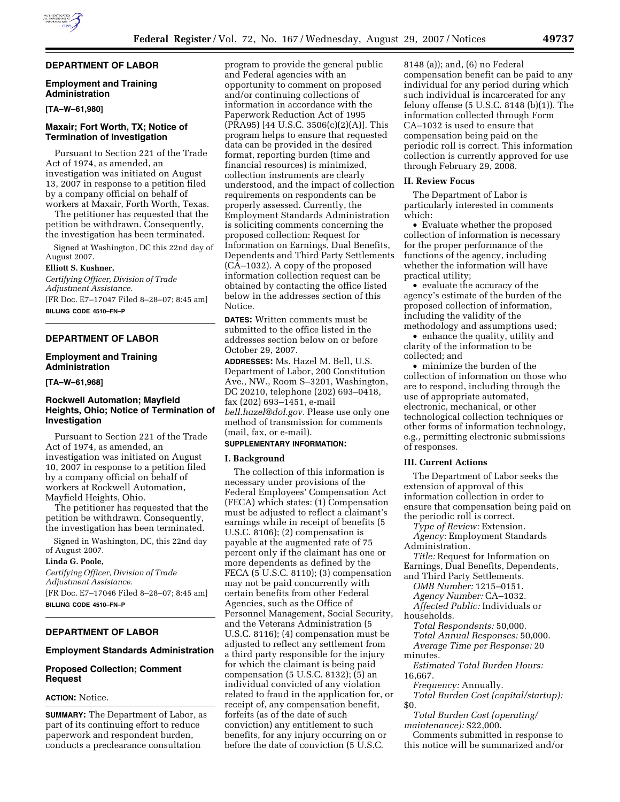## **DEPARTMENT OF LABOR**

## **Employment and Training Administration**

**[TA–W–61,980]** 

## **Maxair; Fort Worth, TX; Notice of Termination of Investigation**

Pursuant to Section 221 of the Trade Act of 1974, as amended, an investigation was initiated on August 13, 2007 in response to a petition filed by a company official on behalf of workers at Maxair, Forth Worth, Texas.

The petitioner has requested that the petition be withdrawn. Consequently, the investigation has been terminated.

Signed at Washington, DC this 22nd day of August 2007.

#### **Elliott S. Kushner,**

*Certifying Officer, Division of Trade Adjustment Assistance.*  [FR Doc. E7–17047 Filed 8–28–07; 8:45 am]

**BILLING CODE 4510–FN–P** 

## **DEPARTMENT OF LABOR**

## **Employment and Training Administration**

**[TA–W–61,968]** 

## **Rockwell Automation; Mayfield Heights, Ohio; Notice of Termination of Investigation**

Pursuant to Section 221 of the Trade Act of 1974, as amended, an investigation was initiated on August 10, 2007 in response to a petition filed by a company official on behalf of workers at Rockwell Automation, Mayfield Heights, Ohio.

The petitioner has requested that the petition be withdrawn. Consequently, the investigation has been terminated.

Signed in Washington, DC, this 22nd day of August 2007.

## **Linda G. Poole,**

*Certifying Officer, Division of Trade Adjustment Assistance.*  [FR Doc. E7–17046 Filed 8–28–07; 8:45 am] **BILLING CODE 4510–FN–P** 

## **DEPARTMENT OF LABOR**

## **Employment Standards Administration**

## **Proposed Collection; Comment Request**

## **ACTION:** Notice.

**SUMMARY:** The Department of Labor, as part of its continuing effort to reduce paperwork and respondent burden, conducts a preclearance consultation

program to provide the general public and Federal agencies with an opportunity to comment on proposed and/or continuing collections of information in accordance with the Paperwork Reduction Act of 1995 (PRA95) [44 U.S.C. 3506(c)(2)(A)]. This program helps to ensure that requested data can be provided in the desired format, reporting burden (time and financial resources) is minimized, collection instruments are clearly understood, and the impact of collection requirements on respondents can be properly assessed. Currently, the Employment Standards Administration is soliciting comments concerning the proposed collection: Request for Information on Earnings, Dual Benefits, Dependents and Third Party Settlements (CA–1032). A copy of the proposed information collection request can be obtained by contacting the office listed below in the addresses section of this Notice.

**DATES:** Written comments must be submitted to the office listed in the addresses section below on or before October 29, 2007.

**ADDRESSES:** Ms. Hazel M. Bell, U.S. Department of Labor, 200 Constitution Ave., NW., Room S–3201, Washington, DC 20210, telephone (202) 693–0418, fax (202) 693–1451, e-mail *bell.hazel@dol.gov.* Please use only one method of transmission for comments (mail, fax, or e-mail).

## **SUPPLEMENTARY INFORMATION:**

#### **I. Background**

The collection of this information is necessary under provisions of the Federal Employees' Compensation Act (FECA) which states: (1) Compensation must be adjusted to reflect a claimant's earnings while in receipt of benefits (5 U.S.C. 8106); (2) compensation is payable at the augmented rate of 75 percent only if the claimant has one or more dependents as defined by the FECA (5 U.S.C. 8110); (3) compensation may not be paid concurrently with certain benefits from other Federal Agencies, such as the Office of Personnel Management, Social Security, and the Veterans Administration (5 U.S.C. 8116); (4) compensation must be adjusted to reflect any settlement from a third party responsible for the injury for which the claimant is being paid compensation (5 U.S.C. 8132); (5) an individual convicted of any violation related to fraud in the application for, or receipt of, any compensation benefit, forfeits (as of the date of such conviction) any entitlement to such benefits, for any injury occurring on or before the date of conviction (5 U.S.C.

8148 (a)); and, (6) no Federal compensation benefit can be paid to any individual for any period during which such individual is incarcerated for any felony offense (5 U.S.C. 8148 (b)(1)). The information collected through Form CA–1032 is used to ensure that compensation being paid on the periodic roll is correct. This information collection is currently approved for use through February 29, 2008.

### **II. Review Focus**

The Department of Labor is particularly interested in comments which:

• Evaluate whether the proposed collection of information is necessary for the proper performance of the functions of the agency, including whether the information will have practical utility;

• evaluate the accuracy of the agency's estimate of the burden of the proposed collection of information, including the validity of the methodology and assumptions used;

• enhance the quality, utility and clarity of the information to be collected; and

• minimize the burden of the collection of information on those who are to respond, including through the use of appropriate automated, electronic, mechanical, or other technological collection techniques or other forms of information technology, e.g., permitting electronic submissions of responses.

#### **III. Current Actions**

The Department of Labor seeks the extension of approval of this information collection in order to ensure that compensation being paid on the periodic roll is correct.

*Type of Review:* Extension. *Agency:* Employment Standards

Administration. *Title:* Request for Information on

Earnings, Dual Benefits, Dependents, and Third Party Settlements.

*OMB Number:* 1215–0151.

*Agency Number:* CA–1032.

*Affected Public:* Individuals or households.

*Total Respondents:* 50,000. *Total Annual Responses:* 50,000. *Average Time per Response:* 20 minutes.

*Estimated Total Burden Hours:*  16,667.

*Frequency:* Annually. *Total Burden Cost (capital/startup):*  \$0.

*Total Burden Cost (operating/ maintenance):* \$22,000.

Comments submitted in response to this notice will be summarized and/or